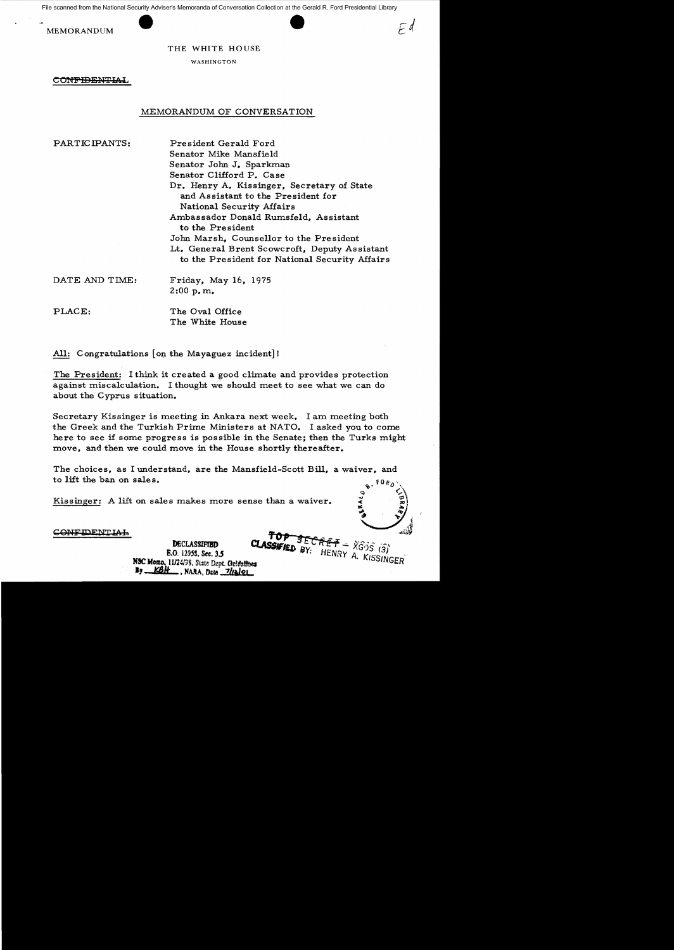File scanned from the National Security Adviser's Memoranda of Conversation Collection at the Gerald R. Ford Presidential Library





 $E$ d

THE WHITE HOUSE

WASHINGTON

**CONFIDENTIAL** 

## MEMORANDUM OF CONVERSATION

PARTICIPANTS: President Gerald Ford Senator Mike Mansfield Senator John J. Sparkman Senator Clifford P. Case Dr. Henry A. Kissinger, Secretary of State and Assistant to the President for National Security Affairs Ambassador Donald Rumsfeld, Assistant to the Pre sident Jom Marsh, Counsellor to the Pre sident Lt. General Brent Scowcroft, Deputy As sistant to the President for National Security Affairs

DATE AND TIME: Friday, May 16, 1975  $2:00$  p.m.

PLACE: The Oval Office The White House

All: Congratulations [on the Mayaguez incident]!

The President: I think it created a good climate and provides protection against miscalculation. I thought we should meet to see what we can do about the Cyprus situation.

Secretary Kissinger is meeting in Ankara next week. I am meeting both the Greek and the Turkish Prime Ministers at NATO. I asked you to come here to see if some progress is possible in the Senate; then the Turks might move, and then we could move in the House shortly thereafter.

The choices, as I understand, are the Mansfield-Scott Bill, a waiver, and to lift the ban on sales.

Kissinger: A lift on sales makes more sense than a waiver.

<u>CONFIDENTIAL</u>

SECRET = XGOS (3) **CLASSIFIED** BY: HENRY A. KISSINGER **DECLASSIFIED** E.O. 12958, Sec. 3.5 NSC Memo, 11/24/98, State Dept. Guidatines  $B_7$   $KBF$ , NARA, Data  $7/12$ |01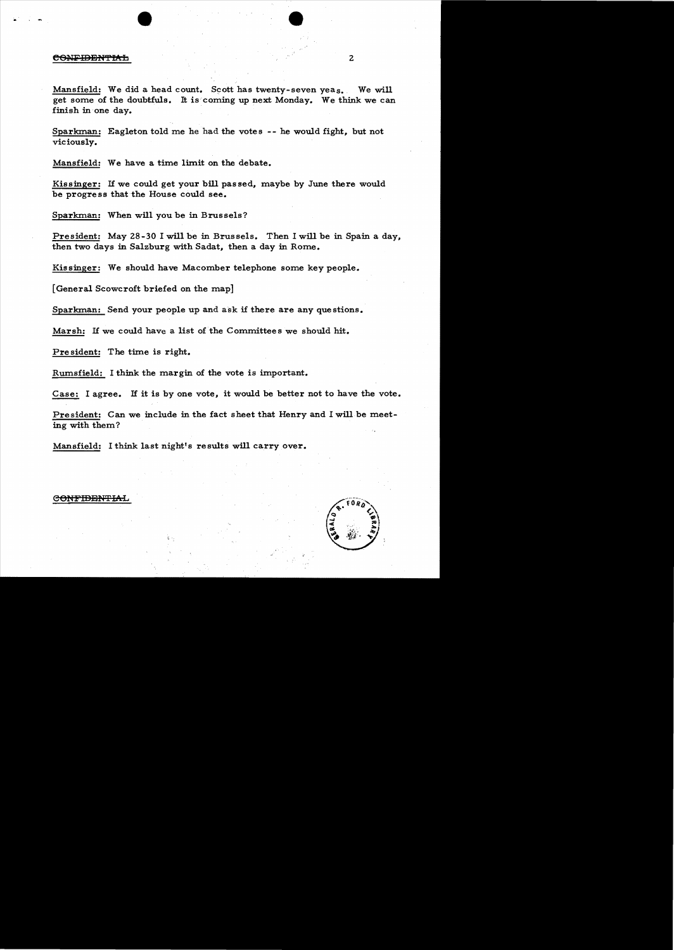## CONFIDENTIAL

Mansfield: We did a head count. Scott has twenty-seven yeas. We will get some of the doubtfuls. It is coming up next Monday. We think we can finish in one day.

Sparkman: Eagleton told me he had the votes -- he would fight, but not viciously.

Mansfield: We have a time limit on the debate.

Kissinger: If we could get your bill passed, maybe by June there would be progre ss that the House could see.

Sparkman: When will you be in Brussels?

President: May 28-30 I will be in Brussels. Then I will be in Spain a day, then two days in Salzburg with Sadat, then a day in Rome.

Kissinger: We should have Macomber telephone some key people.

[General Scowcroft briefed on the map]

Sparkman: Send your people up and ask if there are any questions.

Marsh: If we could have a list of the Committees we should hit.

Pre sident: The time is right.

Rumsfield: I think the margin of the vote is important.

Case: I agree. If it is by one vote, it would be better not to have the vote.

President: Can we include in the fact sheet that Henry and I will be meeting with them?

Mansfield: I think last night's results will carry over.



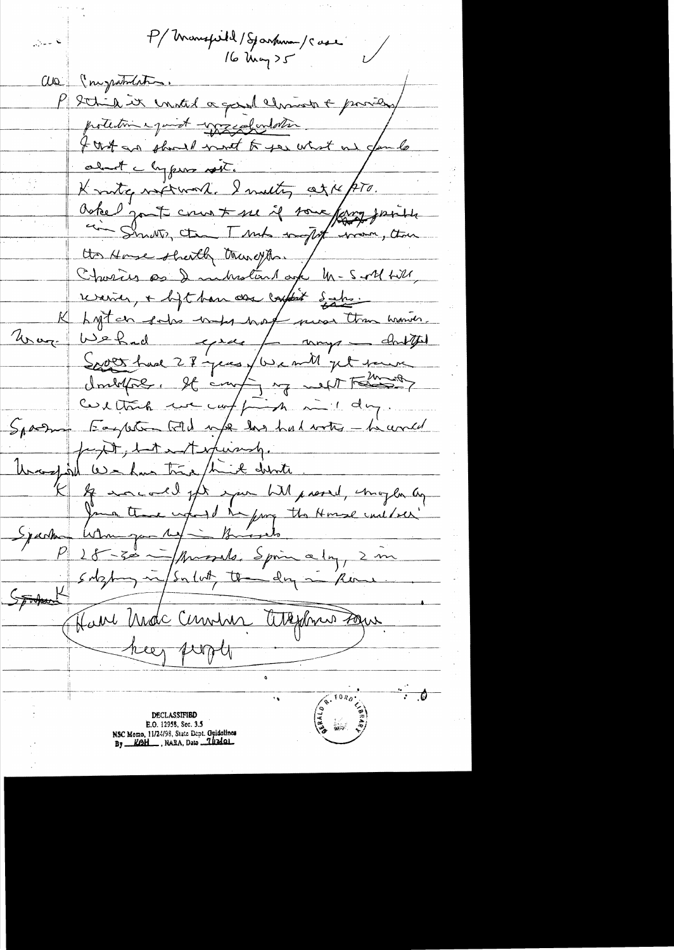P/Monspill/Sparkman/Case نتا سەرى all ( myramenting . P Sthil it united a good christ & providery protection equivat - page dondotter I that an phone most to you what one funds about chypane soit. Knoty notromate I meeting agre pro. Knote sont court se if some fang joint Us House shortly truneyhou . Charies as I inhistent age M-Soll till, revenier, + ligt han der captist Sahs. Lyten sales under hard mean than warren. Unage Webad gree / may dutted South had 28 years / We mill get town doubtre, It coup, y with the same cultural un comption in day. Sparry Eagleton told up has had writer - he would faxt, but and the periody. Unaughtel Washing time think disn'ts. If warrall for your hill present, maybe ag Journalement de la famille de la Homme une de la famille Syanho 28-30 - / Amorales Sprin a 1 mg/ 2 m sulghing in / Sulut the day in Have Madc Cemens Attextme sous heer prople  $\cdot$   $\bullet$  $R = \frac{1}{R}$ **CENTO: DECLASSIFIBD** E.O. 12958, Sec. 3.5 NSC Momo, 11/24/98, State Dept. Guidalines<br>By \_\_KOH\_, NARA, Dato \_\_ Iliziol\_